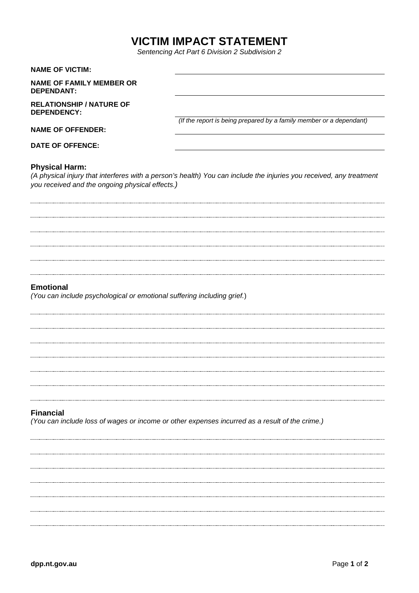# **VICTIM IMPACT STATEMENT**

*Sentencing Act Part 6 Division 2 Subdivision 2*

| <b>NAME OF VICTIM:</b>                                                                      |                                                                                                                     |
|---------------------------------------------------------------------------------------------|---------------------------------------------------------------------------------------------------------------------|
| <b>NAME OF FAMILY MEMBER OR</b><br><b>DEPENDANT:</b>                                        |                                                                                                                     |
| <b>RELATIONSHIP / NATURE OF</b><br>DEPENDENCY:                                              |                                                                                                                     |
| <b>NAME OF OFFENDER:</b>                                                                    | (If the report is being prepared by a family member or a dependant)                                                 |
| <b>DATE OF OFFENCE:</b>                                                                     |                                                                                                                     |
| <b>Physical Harm:</b><br>you received and the ongoing physical effects.)                    | (A physical injury that interferes with a person's health) You can include the injuries you received, any treatment |
|                                                                                             |                                                                                                                     |
|                                                                                             |                                                                                                                     |
|                                                                                             |                                                                                                                     |
|                                                                                             |                                                                                                                     |
|                                                                                             |                                                                                                                     |
| <b>Emotional</b><br>(You can include psychological or emotional suffering including grief.) |                                                                                                                     |
|                                                                                             |                                                                                                                     |
|                                                                                             |                                                                                                                     |
|                                                                                             |                                                                                                                     |
|                                                                                             |                                                                                                                     |
|                                                                                             |                                                                                                                     |
|                                                                                             |                                                                                                                     |
|                                                                                             |                                                                                                                     |

## **Financial**

*(You can include loss of wages or income or other expenses incurred as a result of the crime.)*